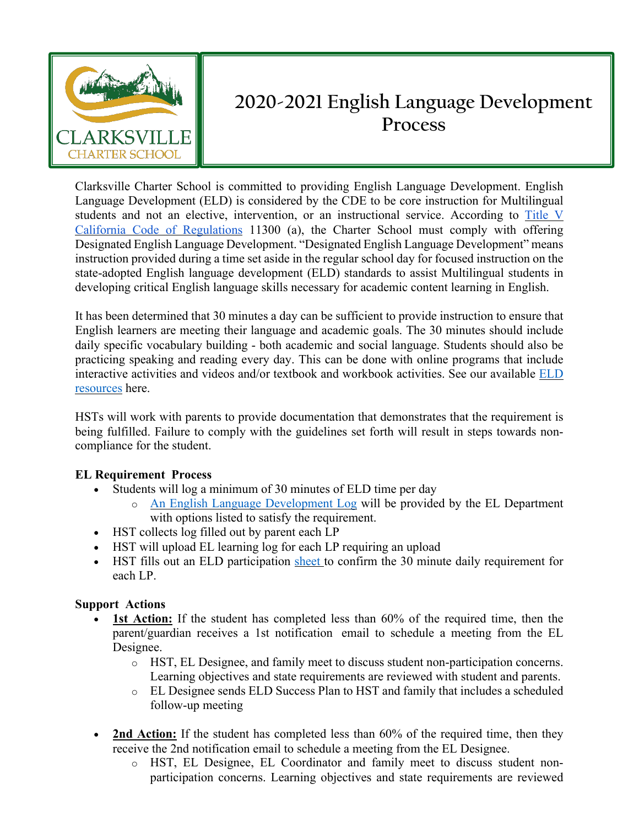

## **2020-2021 English Language Development Process**

Clarksville Charter School is committed to providing English Language Development. English Language Development (ELD) is considered by the CDE to be core instruction for Multilingual students and not an elective, intervention, or an instructional service. According to Title V California Code of Regulations 11300 (a), the Charter School must comply with offering Designated English Language Development. "Designated English Language Development" means instruction provided during a time set aside in the regular school day for focused instruction on the state-adopted English language development (ELD) standards to assist Multilingual students in developing critical English language skills necessary for academic content learning in English.

It has been determined that 30 minutes a day can be sufficient to provide instruction to ensure that English learners are meeting their language and academic goals. The 30 minutes should include daily specific vocabulary building - both academic and social language. Students should also be practicing speaking and reading every day. This can be done with online programs that include interactive activities and videos and/or textbook and workbook activities. See our available ELD resources here.

HSTs will work with parents to provide documentation that demonstrates that the requirement is being fulfilled. Failure to comply with the guidelines set forth will result in steps towards noncompliance for the student.

## **EL Requirement Process**

- Students will log a minimum of 30 minutes of ELD time per day
	- o An English Language Development Log will be provided by the EL Department with options listed to satisfy the requirement.
- HST collects log filled out by parent each LP
- HST will upload EL learning log for each LP requiring an upload
- HST fills out an ELD participation sheet to confirm the 30 minute daily requirement for each LP.

## **Support Actions**

- **1st Action:** If the student has completed less than 60% of the required time, then the parent/guardian receives a 1st notification email to schedule a meeting from the EL Designee.
	- o HST, EL Designee, and family meet to discuss student non-participation concerns. Learning objectives and state requirements are reviewed with student and parents.
	- o EL Designee sends ELD Success Plan to HST and family that includes a scheduled follow-up meeting
- **2nd Action:** If the student has completed less than 60% of the required time, then they receive the 2nd notification email to schedule a meeting from the EL Designee.
	- o HST, EL Designee, EL Coordinator and family meet to discuss student nonparticipation concerns. Learning objectives and state requirements are reviewed